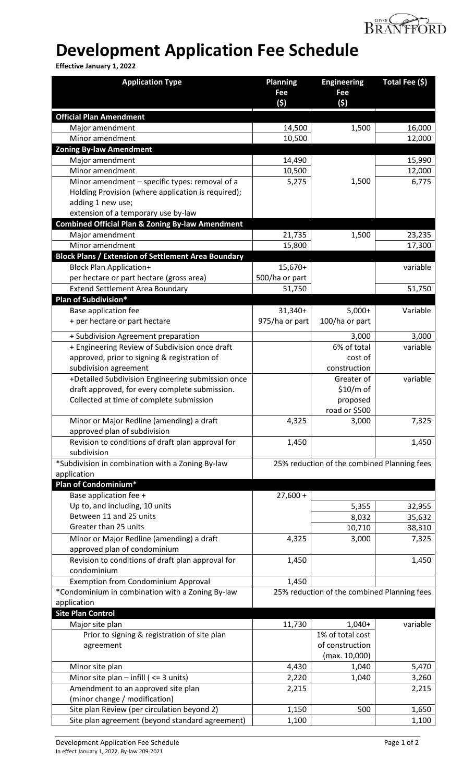

## **Development Application Fee Schedule**

**Effective January 1, 2022**

| <b>Application Type</b>                                         | <b>Planning</b><br>Fee<br>(5) | <b>Engineering</b><br>Fee<br>(5)            | Total Fee (\$) |
|-----------------------------------------------------------------|-------------------------------|---------------------------------------------|----------------|
|                                                                 |                               |                                             |                |
| <b>Official Plan Amendment</b><br>Major amendment               | 14,500                        | 1,500                                       | 16,000         |
| Minor amendment                                                 | 10,500                        |                                             | 12,000         |
| <b>Zoning By-law Amendment</b>                                  |                               |                                             |                |
| Major amendment                                                 | 14,490                        |                                             | 15,990         |
| Minor amendment                                                 | 10,500                        |                                             | 12,000         |
| Minor amendment - specific types: removal of a                  | 5,275                         | 1,500                                       | 6,775          |
| Holding Provision (where application is required);              |                               |                                             |                |
| adding 1 new use;                                               |                               |                                             |                |
| extension of a temporary use by-law                             |                               |                                             |                |
| <b>Combined Official Plan &amp; Zoning By-law Amendment</b>     |                               |                                             |                |
| Major amendment                                                 | 21,735                        | 1,500                                       | 23,235         |
| Minor amendment                                                 | 15,800                        |                                             | 17,300         |
| <b>Block Plans / Extension of Settlement Area Boundary</b>      |                               |                                             |                |
| <b>Block Plan Application+</b>                                  | 15,670+                       |                                             | variable       |
| per hectare or part hectare (gross area)                        | 500/ha or part                |                                             |                |
| <b>Extend Settlement Area Boundary</b>                          | 51,750                        |                                             | 51,750         |
| Plan of Subdivision*                                            |                               |                                             |                |
| Base application fee                                            | 31,340+                       | $5,000+$                                    | Variable       |
| + per hectare or part hectare                                   | 975/ha or part                | 100/ha or part                              |                |
| + Subdivision Agreement preparation                             |                               | 3,000                                       | 3,000          |
| + Engineering Review of Subdivision once draft                  |                               | 6% of total                                 | variable       |
| approved, prior to signing & registration of                    |                               | cost of                                     |                |
| subdivision agreement                                           |                               | construction                                |                |
| +Detailed Subdivision Engineering submission once               |                               | Greater of                                  | variable       |
| draft approved, for every complete submission.                  |                               | \$10/m of                                   |                |
| Collected at time of complete submission                        |                               | proposed                                    |                |
|                                                                 |                               | road or \$500                               |                |
| Minor or Major Redline (amending) a draft                       | 4,325                         | 3,000                                       | 7,325          |
| approved plan of subdivision                                    |                               |                                             |                |
| Revision to conditions of draft plan approval for               | 1,450                         |                                             | 1,450          |
| subdivision                                                     |                               |                                             |                |
| *Subdivision in combination with a Zoning By-law                |                               | 25% reduction of the combined Planning fees |                |
| application                                                     |                               |                                             |                |
| Plan of Condominium*                                            |                               |                                             |                |
| Base application fee +                                          | $27,600 +$                    |                                             |                |
| Up to, and including, 10 units                                  |                               | 5,355                                       | 32,955         |
| Between 11 and 25 units                                         |                               | 8,032                                       | 35,632         |
| Greater than 25 units                                           |                               | 10,710                                      | 38,310         |
| Minor or Major Redline (amending) a draft                       | 4,325                         | 3,000                                       | 7,325          |
| approved plan of condominium                                    |                               |                                             |                |
| Revision to conditions of draft plan approval for               | 1,450                         |                                             | 1,450          |
| condominium                                                     |                               |                                             |                |
| <b>Exemption from Condominium Approval</b>                      | 1,450                         |                                             |                |
| *Condominium in combination with a Zoning By-law<br>application |                               | 25% reduction of the combined Planning fees |                |
| <b>Site Plan Control</b>                                        |                               |                                             |                |
| Major site plan                                                 | 11,730                        | 1,040+                                      | variable       |
| Prior to signing & registration of site plan                    |                               | 1% of total cost                            |                |
| agreement                                                       |                               | of construction                             |                |
|                                                                 |                               | (max. 10,000)                               |                |
| Minor site plan                                                 | 4,430                         | 1,040                                       | 5,470          |
| Minor site plan $-$ infill ( $\leq$ 3 units)                    | 2,220                         | 1,040                                       | 3,260          |
| Amendment to an approved site plan                              | 2,215                         |                                             | 2,215          |
| (minor change / modification)                                   |                               |                                             |                |
| Site plan Review (per circulation beyond 2)                     | 1,150                         | 500                                         | 1,650          |
| Site plan agreement (beyond standard agreement)                 | 1,100                         |                                             | 1,100          |